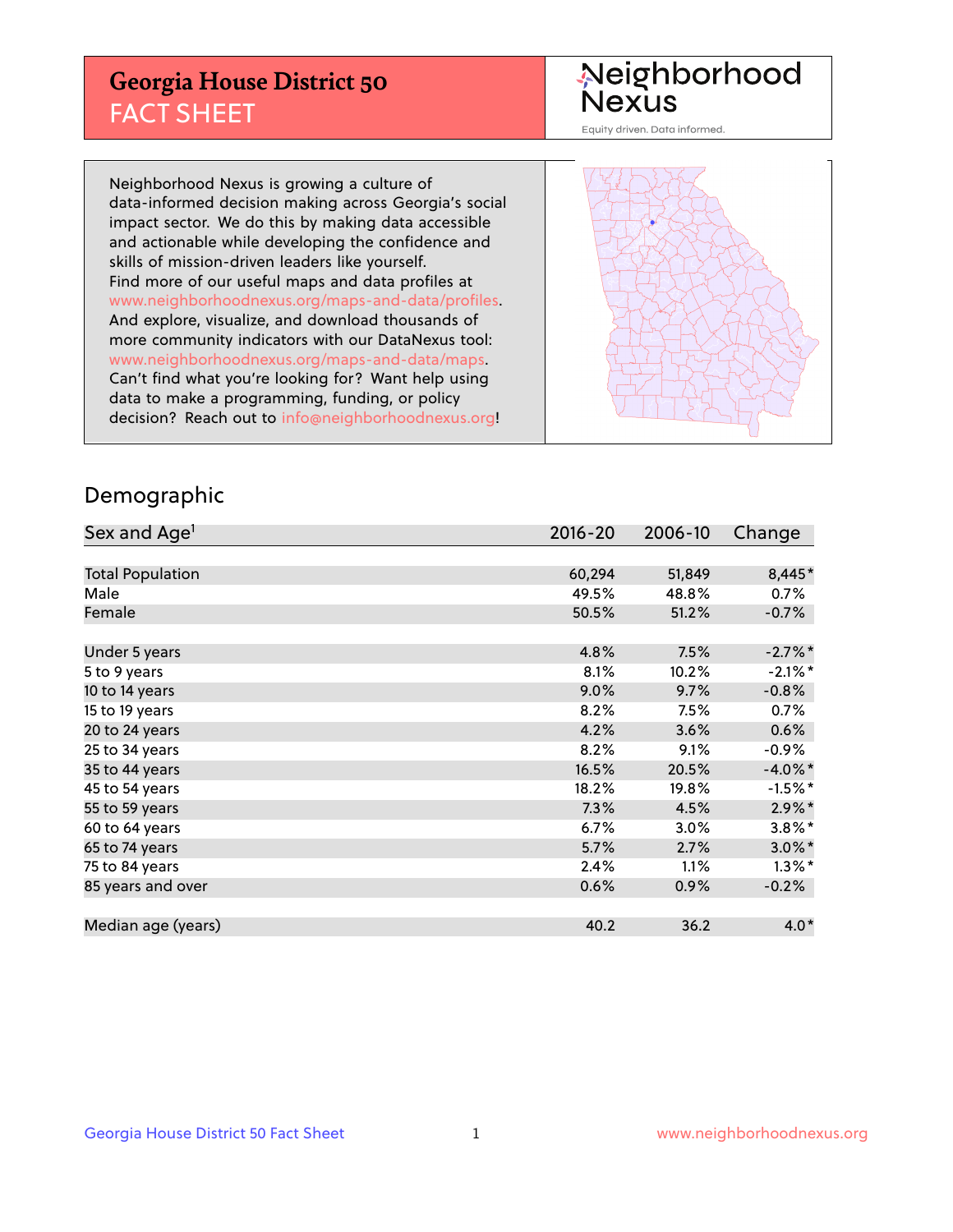## **Georgia House District 50** FACT SHEET

# Neighborhood<br>Nexus

Equity driven. Data informed.

Neighborhood Nexus is growing a culture of data-informed decision making across Georgia's social impact sector. We do this by making data accessible and actionable while developing the confidence and skills of mission-driven leaders like yourself. Find more of our useful maps and data profiles at www.neighborhoodnexus.org/maps-and-data/profiles. And explore, visualize, and download thousands of more community indicators with our DataNexus tool: www.neighborhoodnexus.org/maps-and-data/maps. Can't find what you're looking for? Want help using data to make a programming, funding, or policy decision? Reach out to [info@neighborhoodnexus.org!](mailto:info@neighborhoodnexus.org)



### Demographic

| Sex and Age <sup>1</sup> | $2016 - 20$ | 2006-10 | Change     |
|--------------------------|-------------|---------|------------|
|                          |             |         |            |
| <b>Total Population</b>  | 60,294      | 51,849  | 8,445*     |
| Male                     | 49.5%       | 48.8%   | 0.7%       |
| Female                   | 50.5%       | 51.2%   | $-0.7%$    |
|                          |             |         |            |
| Under 5 years            | 4.8%        | 7.5%    | $-2.7%$ *  |
| 5 to 9 years             | 8.1%        | 10.2%   | $-2.1\%$ * |
| 10 to 14 years           | 9.0%        | 9.7%    | $-0.8%$    |
| 15 to 19 years           | 8.2%        | 7.5%    | 0.7%       |
| 20 to 24 years           | 4.2%        | 3.6%    | 0.6%       |
| 25 to 34 years           | 8.2%        | 9.1%    | $-0.9\%$   |
| 35 to 44 years           | 16.5%       | 20.5%   | $-4.0\%$ * |
| 45 to 54 years           | 18.2%       | 19.8%   | $-1.5%$ *  |
| 55 to 59 years           | 7.3%        | 4.5%    | $2.9\%$ *  |
| 60 to 64 years           | 6.7%        | 3.0%    | $3.8\%$ *  |
| 65 to 74 years           | 5.7%        | 2.7%    | $3.0\%$ *  |
| 75 to 84 years           | 2.4%        | 1.1%    | $1.3\%$ *  |
| 85 years and over        | 0.6%        | 0.9%    | $-0.2%$    |
|                          |             |         |            |
| Median age (years)       | 40.2        | 36.2    | $4.0*$     |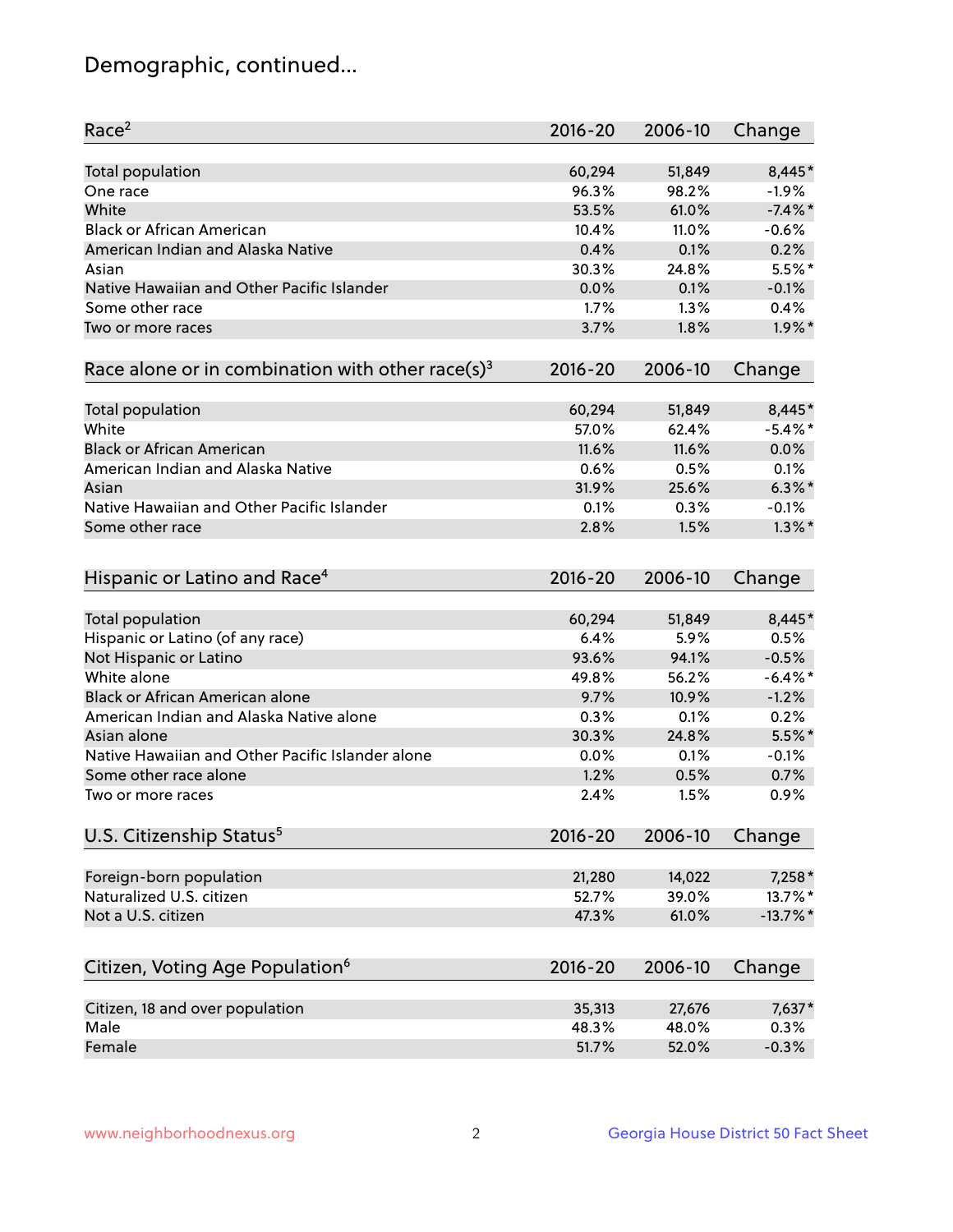## Demographic, continued...

| Race <sup>2</sup>                                            | $2016 - 20$    | 2006-10 | Change                |
|--------------------------------------------------------------|----------------|---------|-----------------------|
| <b>Total population</b>                                      | 60,294         | 51,849  | 8,445*                |
| One race                                                     | 96.3%          | 98.2%   | $-1.9%$               |
| White                                                        | 53.5%          | 61.0%   | $-7.4\%$ *            |
| <b>Black or African American</b>                             | 10.4%          | 11.0%   | $-0.6%$               |
| American Indian and Alaska Native                            | 0.4%           | 0.1%    | 0.2%                  |
| Asian                                                        | 30.3%          | 24.8%   | $5.5%$ *              |
| Native Hawaiian and Other Pacific Islander                   | 0.0%           | 0.1%    | $-0.1%$               |
| Some other race                                              | 1.7%           | 1.3%    | 0.4%                  |
| Two or more races                                            | 3.7%           | 1.8%    | $1.9\%$ *             |
| Race alone or in combination with other race(s) <sup>3</sup> | $2016 - 20$    | 2006-10 | Change                |
| Total population                                             | 60,294         | 51,849  | 8,445*                |
| White                                                        | 57.0%          | 62.4%   | $-5.4\%$ *            |
| <b>Black or African American</b>                             | 11.6%          | 11.6%   | 0.0%                  |
| American Indian and Alaska Native                            | 0.6%           | 0.5%    | 0.1%                  |
| Asian                                                        | 31.9%          | 25.6%   | $6.3\%$ *             |
| Native Hawaiian and Other Pacific Islander                   | 0.1%           | 0.3%    | $-0.1%$               |
| Some other race                                              | 2.8%           | 1.5%    | $1.3\%$ *             |
| Hispanic or Latino and Race <sup>4</sup>                     | $2016 - 20$    | 2006-10 | Change                |
| Total population                                             | 60,294         | 51,849  | 8,445*                |
| Hispanic or Latino (of any race)                             | 6.4%           | 5.9%    | 0.5%                  |
| Not Hispanic or Latino                                       | 93.6%          | 94.1%   | $-0.5%$               |
| White alone                                                  | 49.8%          | 56.2%   | $-6.4\%$ *            |
| Black or African American alone                              | 9.7%           | 10.9%   | $-1.2%$               |
| American Indian and Alaska Native alone                      | 0.3%           | 0.1%    | 0.2%                  |
| Asian alone                                                  | 30.3%          | 24.8%   | $5.5%$ *              |
| Native Hawaiian and Other Pacific Islander alone             | $0.0\%$        | 0.1%    | $-0.1%$               |
| Some other race alone                                        | 1.2%           | 0.5%    | 0.7%                  |
| Two or more races                                            | 2.4%           | 1.5%    | 0.9%                  |
| U.S. Citizenship Status <sup>5</sup>                         | 2016-20        | 2006-10 | Change                |
|                                                              |                |         |                       |
| Foreign-born population<br>Naturalized U.S. citizen          | 21,280         | 14,022  | 7,258*                |
|                                                              | 52.7%<br>47.3% | 39.0%   | 13.7%*<br>$-13.7\%$ * |
| Not a U.S. citizen                                           |                | 61.0%   |                       |
| Citizen, Voting Age Population <sup>6</sup>                  | $2016 - 20$    | 2006-10 | Change                |
| Citizen, 18 and over population                              | 35,313         | 27,676  | 7,637*                |
| Male                                                         | 48.3%          | 48.0%   | 0.3%                  |
| Female                                                       | 51.7%          | 52.0%   | $-0.3%$               |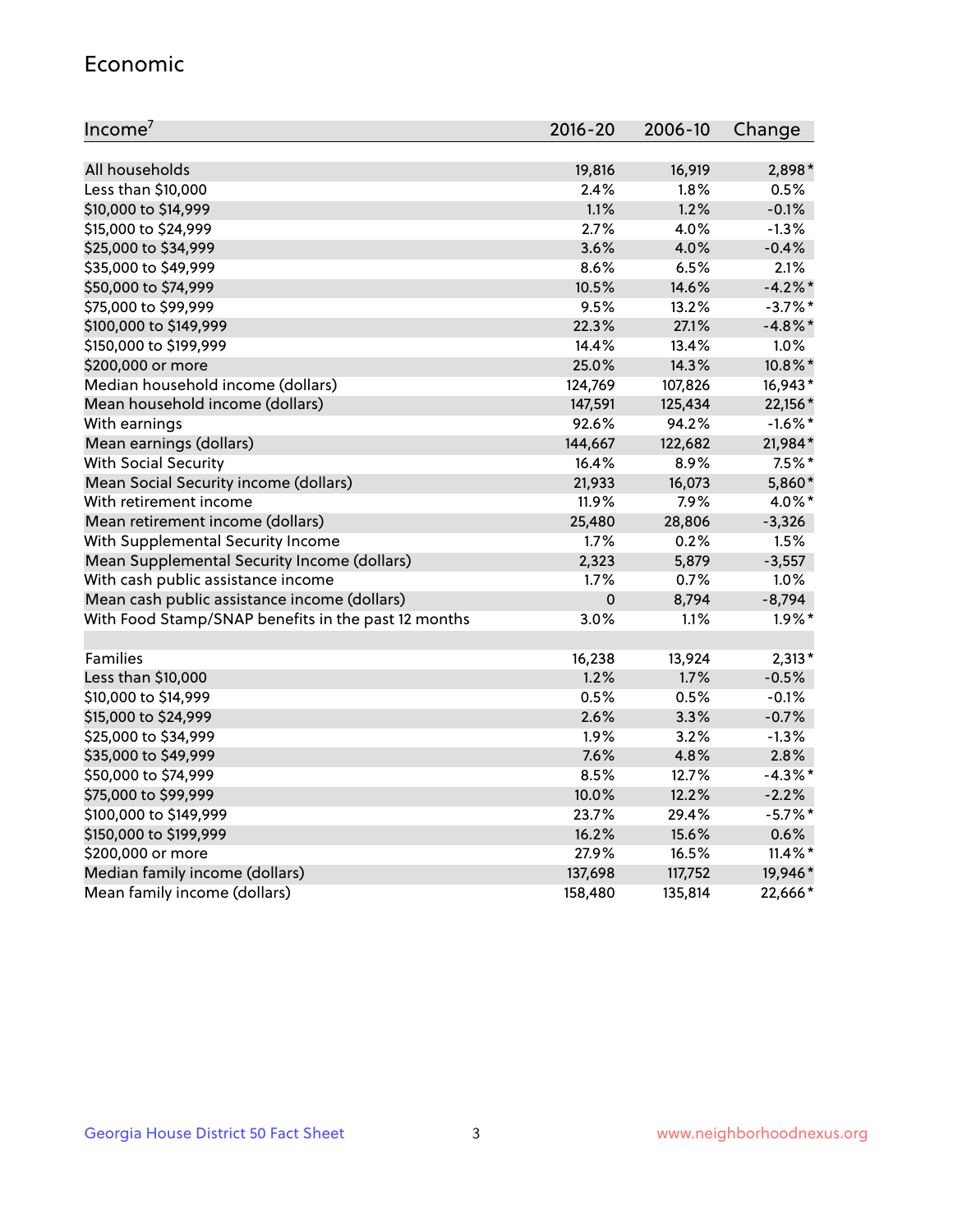#### Economic

| Income <sup>7</sup>                                 | $2016 - 20$ | 2006-10 | Change     |
|-----------------------------------------------------|-------------|---------|------------|
|                                                     |             |         |            |
| All households                                      | 19,816      | 16,919  | 2,898*     |
| Less than \$10,000                                  | 2.4%        | 1.8%    | 0.5%       |
| \$10,000 to \$14,999                                | 1.1%        | 1.2%    | $-0.1%$    |
| \$15,000 to \$24,999                                | 2.7%        | 4.0%    | $-1.3%$    |
| \$25,000 to \$34,999                                | 3.6%        | 4.0%    | $-0.4%$    |
| \$35,000 to \$49,999                                | 8.6%        | 6.5%    | 2.1%       |
| \$50,000 to \$74,999                                | 10.5%       | 14.6%   | $-4.2%$    |
| \$75,000 to \$99,999                                | 9.5%        | 13.2%   | $-3.7\%$ * |
| \$100,000 to \$149,999                              | 22.3%       | 27.1%   | $-4.8\%$ * |
| \$150,000 to \$199,999                              | 14.4%       | 13.4%   | 1.0%       |
| \$200,000 or more                                   | 25.0%       | 14.3%   | 10.8%*     |
| Median household income (dollars)                   | 124,769     | 107,826 | 16,943*    |
| Mean household income (dollars)                     | 147,591     | 125,434 | 22,156*    |
| With earnings                                       | 92.6%       | 94.2%   | $-1.6\%$ * |
| Mean earnings (dollars)                             | 144,667     | 122,682 | 21,984*    |
| <b>With Social Security</b>                         | 16.4%       | 8.9%    | $7.5%$ *   |
| Mean Social Security income (dollars)               | 21,933      | 16,073  | 5,860*     |
| With retirement income                              | 11.9%       | 7.9%    | 4.0%*      |
| Mean retirement income (dollars)                    | 25,480      | 28,806  | $-3,326$   |
| With Supplemental Security Income                   | 1.7%        | 0.2%    | 1.5%       |
| Mean Supplemental Security Income (dollars)         | 2,323       | 5,879   | $-3,557$   |
| With cash public assistance income                  | 1.7%        | $0.7\%$ | 1.0%       |
| Mean cash public assistance income (dollars)        | $\mathbf 0$ | 8,794   | $-8,794$   |
| With Food Stamp/SNAP benefits in the past 12 months | 3.0%        | 1.1%    | $1.9\%$ *  |
|                                                     |             |         |            |
| Families                                            | 16,238      | 13,924  | $2,313*$   |
| Less than \$10,000                                  | 1.2%        | 1.7%    | $-0.5%$    |
| \$10,000 to \$14,999                                | 0.5%        | 0.5%    | $-0.1%$    |
| \$15,000 to \$24,999                                | 2.6%        | 3.3%    | $-0.7%$    |
| \$25,000 to \$34,999                                | 1.9%        | 3.2%    | $-1.3%$    |
| \$35,000 to \$49,999                                | 7.6%        | 4.8%    | 2.8%       |
| \$50,000 to \$74,999                                | 8.5%        | 12.7%   | $-4.3\%$ * |
| \$75,000 to \$99,999                                | 10.0%       | 12.2%   | $-2.2%$    |
| \$100,000 to \$149,999                              | 23.7%       | 29.4%   | $-5.7\%$ * |
| \$150,000 to \$199,999                              | 16.2%       | 15.6%   | 0.6%       |
| \$200,000 or more                                   | 27.9%       | 16.5%   | $11.4\%$ * |
| Median family income (dollars)                      | 137,698     | 117,752 | 19,946*    |
| Mean family income (dollars)                        | 158,480     | 135,814 | 22,666*    |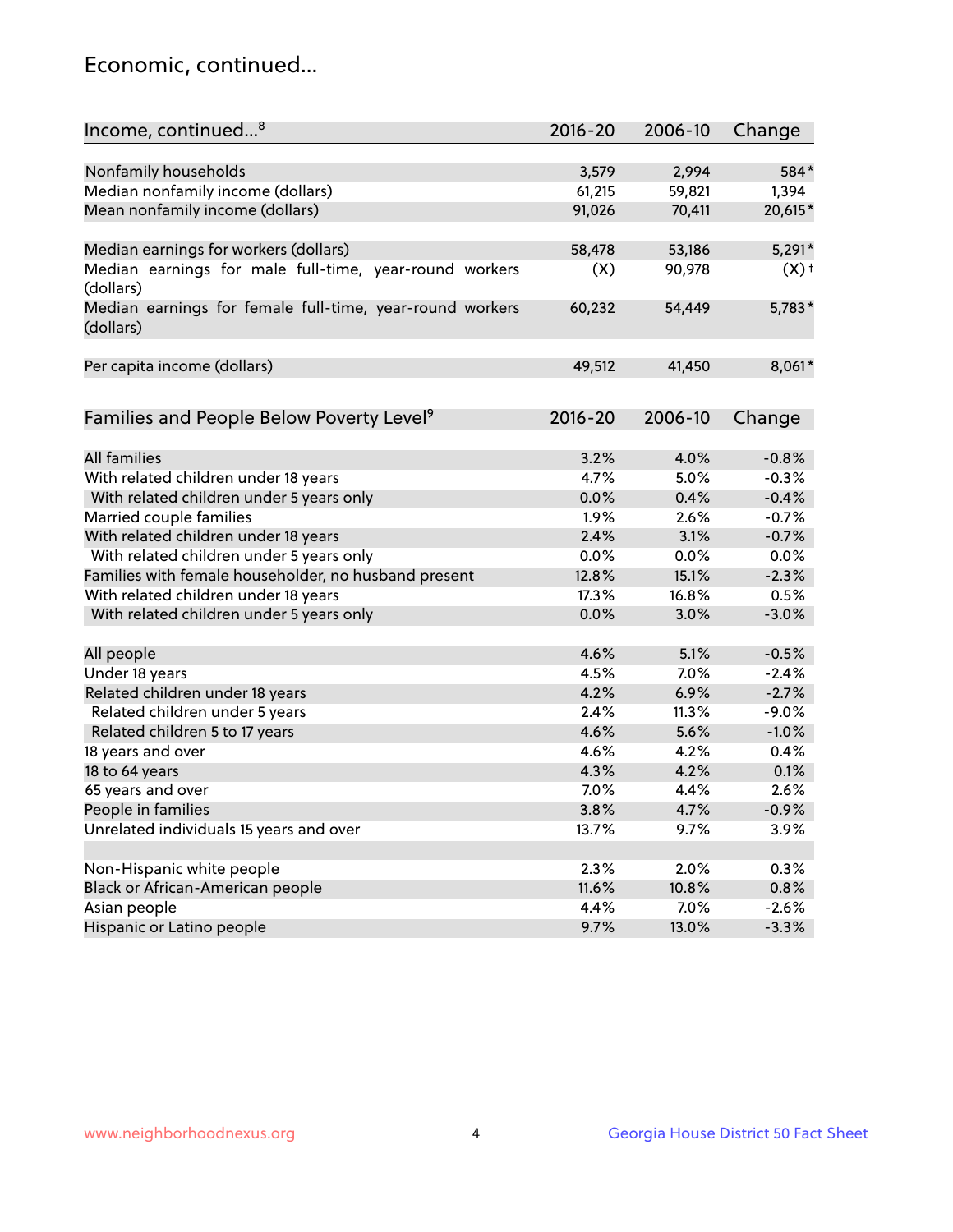## Economic, continued...

| Income, continued <sup>8</sup>                                        | $2016 - 20$ | 2006-10 | Change   |
|-----------------------------------------------------------------------|-------------|---------|----------|
|                                                                       |             |         |          |
| Nonfamily households                                                  | 3,579       | 2,994   | 584*     |
| Median nonfamily income (dollars)                                     | 61,215      | 59,821  | 1,394    |
| Mean nonfamily income (dollars)                                       | 91,026      | 70,411  | 20,615*  |
| Median earnings for workers (dollars)                                 | 58,478      | 53,186  | $5,291*$ |
| Median earnings for male full-time, year-round workers                | (X)         | 90,978  | $(X)$ +  |
| (dollars)                                                             |             |         |          |
| Median earnings for female full-time, year-round workers<br>(dollars) | 60,232      | 54,449  | $5,783*$ |
| Per capita income (dollars)                                           | 49,512      | 41,450  | 8,061*   |
|                                                                       |             |         |          |
| Families and People Below Poverty Level <sup>9</sup>                  | $2016 - 20$ | 2006-10 | Change   |
|                                                                       |             |         |          |
| <b>All families</b>                                                   | 3.2%        | 4.0%    | $-0.8%$  |
| With related children under 18 years                                  | 4.7%        | 5.0%    | $-0.3%$  |
| With related children under 5 years only                              | 0.0%        | 0.4%    | $-0.4%$  |
| Married couple families                                               | 1.9%        | 2.6%    | $-0.7%$  |
| With related children under 18 years                                  | 2.4%        | 3.1%    | $-0.7%$  |
| With related children under 5 years only                              | 0.0%        | 0.0%    | 0.0%     |
| Families with female householder, no husband present                  | 12.8%       | 15.1%   | $-2.3%$  |
| With related children under 18 years                                  | 17.3%       | 16.8%   | 0.5%     |
| With related children under 5 years only                              | 0.0%        | 3.0%    | $-3.0%$  |
| All people                                                            | 4.6%        | 5.1%    | $-0.5%$  |
| Under 18 years                                                        | 4.5%        | 7.0%    | $-2.4%$  |
| Related children under 18 years                                       | 4.2%        | 6.9%    | $-2.7%$  |
| Related children under 5 years                                        | 2.4%        | 11.3%   | $-9.0%$  |
| Related children 5 to 17 years                                        | 4.6%        | 5.6%    | $-1.0%$  |
| 18 years and over                                                     | 4.6%        | 4.2%    | 0.4%     |
|                                                                       | 4.3%        |         |          |
| 18 to 64 years                                                        |             | 4.2%    | 0.1%     |
| 65 years and over                                                     | 7.0%        | 4.4%    | 2.6%     |
| People in families                                                    | 3.8%        | 4.7%    | $-0.9%$  |
| Unrelated individuals 15 years and over                               | 13.7%       | 9.7%    | 3.9%     |
|                                                                       |             |         |          |
| Non-Hispanic white people                                             | 2.3%        | 2.0%    | 0.3%     |
| Black or African-American people                                      | 11.6%       | 10.8%   | 0.8%     |
| Asian people                                                          | 4.4%        | 7.0%    | $-2.6%$  |
| Hispanic or Latino people                                             | 9.7%        | 13.0%   | $-3.3%$  |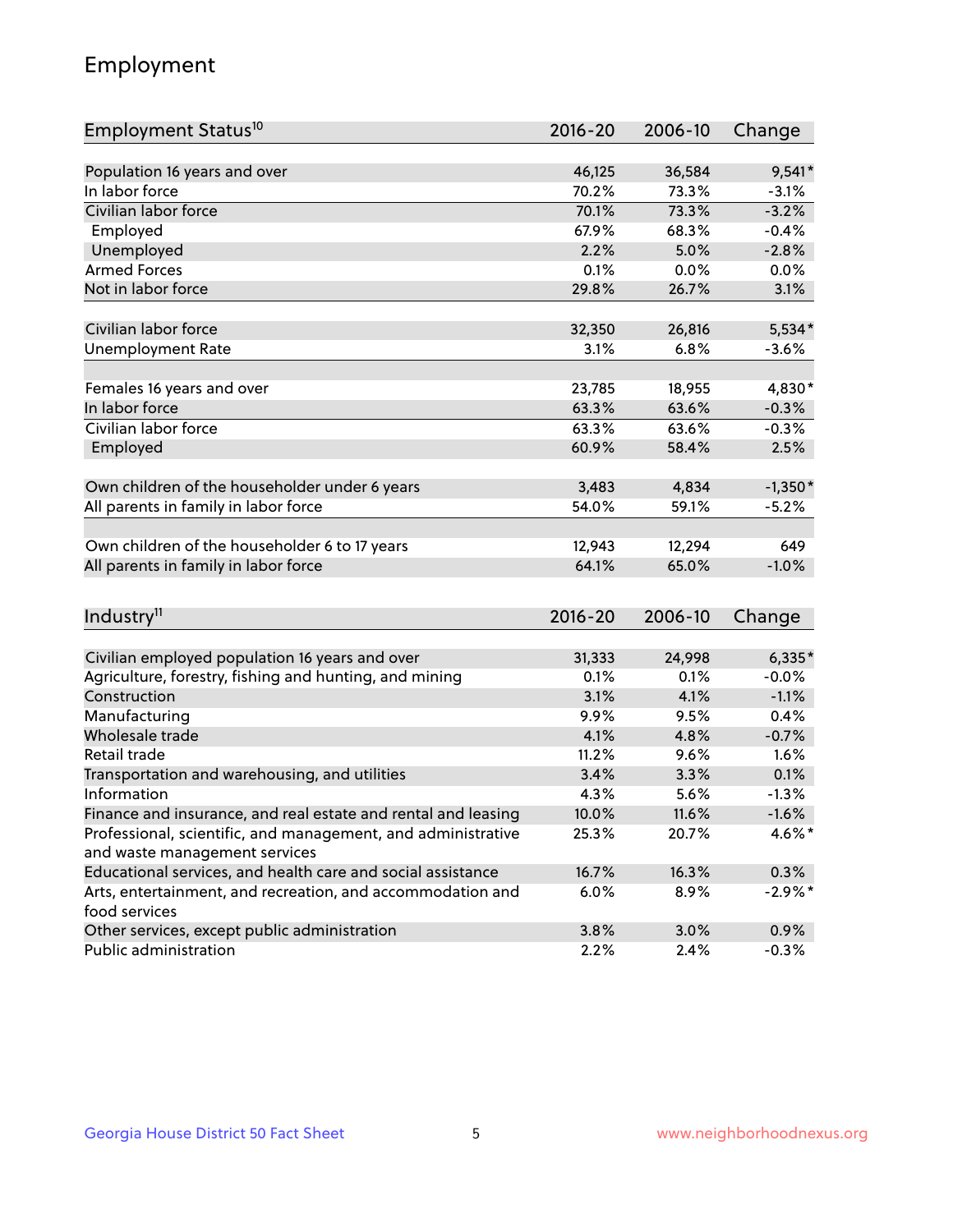## Employment

| Employment Status <sup>10</sup>                               | $2016 - 20$ | 2006-10 | Change    |
|---------------------------------------------------------------|-------------|---------|-----------|
|                                                               |             |         |           |
| Population 16 years and over                                  | 46,125      | 36,584  | $9,541*$  |
| In labor force                                                | 70.2%       | 73.3%   | $-3.1%$   |
| Civilian labor force                                          | 70.1%       | 73.3%   | $-3.2%$   |
| Employed                                                      | 67.9%       | 68.3%   | $-0.4%$   |
| Unemployed                                                    | 2.2%        | 5.0%    | $-2.8%$   |
| <b>Armed Forces</b>                                           | 0.1%        | 0.0%    | 0.0%      |
| Not in labor force                                            | 29.8%       | 26.7%   | 3.1%      |
| Civilian labor force                                          |             | 26,816  | $5,534*$  |
|                                                               | 32,350      |         |           |
| <b>Unemployment Rate</b>                                      | 3.1%        | 6.8%    | $-3.6%$   |
| Females 16 years and over                                     | 23,785      | 18,955  | 4,830*    |
| In labor force                                                | 63.3%       | 63.6%   | $-0.3%$   |
| Civilian labor force                                          | 63.3%       | 63.6%   | $-0.3%$   |
| Employed                                                      | 60.9%       | 58.4%   | 2.5%      |
|                                                               |             |         |           |
| Own children of the householder under 6 years                 | 3,483       | 4,834   | $-1,350*$ |
| All parents in family in labor force                          | 54.0%       | 59.1%   | $-5.2%$   |
|                                                               |             |         |           |
| Own children of the householder 6 to 17 years                 | 12,943      | 12,294  | 649       |
| All parents in family in labor force                          | 64.1%       | 65.0%   | $-1.0%$   |
|                                                               |             |         |           |
| Industry <sup>11</sup>                                        | $2016 - 20$ | 2006-10 | Change    |
|                                                               |             |         |           |
| Civilian employed population 16 years and over                | 31,333      | 24,998  | $6,335*$  |
| Agriculture, forestry, fishing and hunting, and mining        | 0.1%        | 0.1%    | $-0.0%$   |
| Construction                                                  | 3.1%        | 4.1%    | $-1.1%$   |
| Manufacturing                                                 | 9.9%        | 9.5%    | 0.4%      |
| Wholesale trade                                               | 4.1%        | 4.8%    | $-0.7%$   |
| Retail trade                                                  | 11.2%       | 9.6%    | 1.6%      |
| Transportation and warehousing, and utilities                 | 3.4%        | 3.3%    | 0.1%      |
| Information                                                   | 4.3%        | 5.6%    | $-1.3%$   |
| Finance and insurance, and real estate and rental and leasing | 10.0%       | 11.6%   | $-1.6%$   |
| Professional, scientific, and management, and administrative  | 25.3%       | 20.7%   | 4.6%*     |
| and waste management services                                 |             |         |           |
| Educational services, and health care and social assistance   | 16.7%       | 16.3%   | 0.3%      |
| Arts, entertainment, and recreation, and accommodation and    | 6.0%        | 8.9%    | $-2.9%$ * |
| food services                                                 |             |         |           |
| Other services, except public administration                  | 3.8%        | 3.0%    | 0.9%      |
| Public administration                                         | 2.2%        | 2.4%    | $-0.3%$   |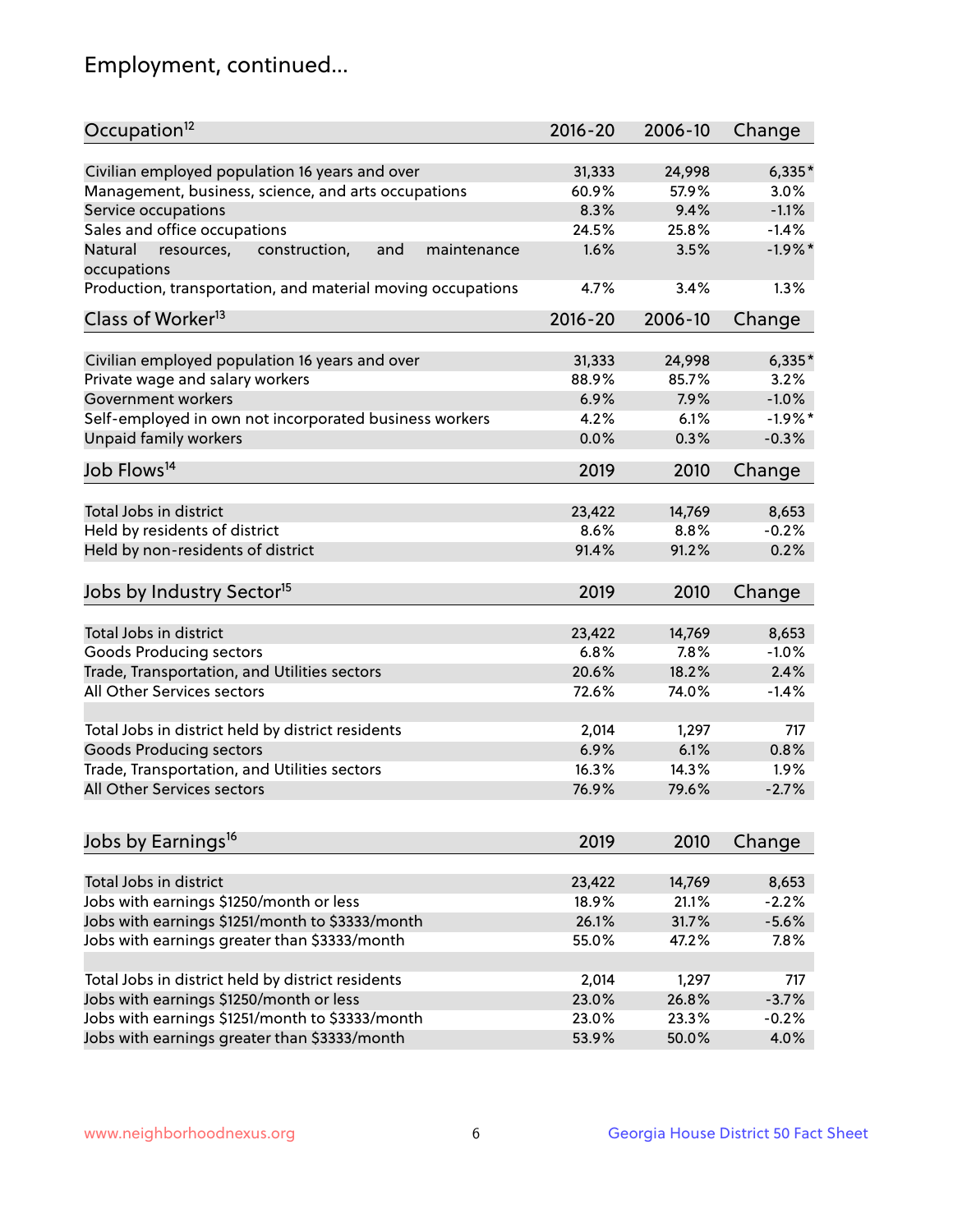## Employment, continued...

| Occupation <sup>12</sup>                                                    | $2016 - 20$ | 2006-10         | Change    |
|-----------------------------------------------------------------------------|-------------|-----------------|-----------|
| Civilian employed population 16 years and over                              | 31,333      |                 | $6,335*$  |
|                                                                             | 60.9%       | 24,998<br>57.9% | 3.0%      |
| Management, business, science, and arts occupations                         | 8.3%        | 9.4%            | $-1.1%$   |
| Service occupations                                                         |             |                 |           |
| Sales and office occupations                                                | 24.5%       | 25.8%           | $-1.4%$   |
| Natural<br>and<br>resources,<br>construction,<br>maintenance<br>occupations | 1.6%        | 3.5%            | $-1.9%$ * |
| Production, transportation, and material moving occupations                 | 4.7%        | 3.4%            | 1.3%      |
| Class of Worker <sup>13</sup>                                               | $2016 - 20$ | 2006-10         | Change    |
|                                                                             |             |                 |           |
| Civilian employed population 16 years and over                              | 31,333      | 24,998          | $6,335*$  |
| Private wage and salary workers                                             | 88.9%       | 85.7%           | 3.2%      |
| Government workers                                                          | 6.9%        | 7.9%            | $-1.0%$   |
| Self-employed in own not incorporated business workers                      | 4.2%        | 6.1%            | $-1.9%$ * |
| Unpaid family workers                                                       | 0.0%        | 0.3%            | $-0.3%$   |
| Job Flows <sup>14</sup>                                                     | 2019        | 2010            | Change    |
|                                                                             |             |                 |           |
| Total Jobs in district                                                      | 23,422      | 14,769          | 8,653     |
| Held by residents of district                                               | 8.6%        | 8.8%            | $-0.2%$   |
| Held by non-residents of district                                           | 91.4%       | 91.2%           | 0.2%      |
| Jobs by Industry Sector <sup>15</sup>                                       | 2019        | 2010            | Change    |
|                                                                             |             |                 |           |
| Total Jobs in district                                                      | 23,422      | 14,769          | 8,653     |
| Goods Producing sectors                                                     | 6.8%        | 7.8%            | $-1.0%$   |
| Trade, Transportation, and Utilities sectors                                | 20.6%       | 18.2%           | 2.4%      |
| All Other Services sectors                                                  | 72.6%       | 74.0%           | $-1.4%$   |
|                                                                             |             |                 |           |
| Total Jobs in district held by district residents                           | 2,014       | 1,297           | 717       |
| <b>Goods Producing sectors</b>                                              | 6.9%        | 6.1%            | 0.8%      |
| Trade, Transportation, and Utilities sectors                                | 16.3%       | 14.3%           | 1.9%      |
| All Other Services sectors                                                  | 76.9%       | 79.6%           | $-2.7%$   |
|                                                                             |             |                 |           |
| Jobs by Earnings <sup>16</sup>                                              | 2019        | 2010            | Change    |
|                                                                             |             |                 |           |
| Total Jobs in district                                                      | 23,422      | 14,769          | 8,653     |
| Jobs with earnings \$1250/month or less                                     | 18.9%       | 21.1%           | $-2.2%$   |
| Jobs with earnings \$1251/month to \$3333/month                             | 26.1%       | 31.7%           | $-5.6%$   |
| Jobs with earnings greater than \$3333/month                                | 55.0%       | 47.2%           | 7.8%      |
| Total Jobs in district held by district residents                           | 2,014       | 1,297           | 717       |
| Jobs with earnings \$1250/month or less                                     | 23.0%       | 26.8%           | $-3.7%$   |
|                                                                             |             |                 | $-0.2%$   |
| Jobs with earnings \$1251/month to \$3333/month                             | 23.0%       | 23.3%           |           |
| Jobs with earnings greater than \$3333/month                                | 53.9%       | 50.0%           | 4.0%      |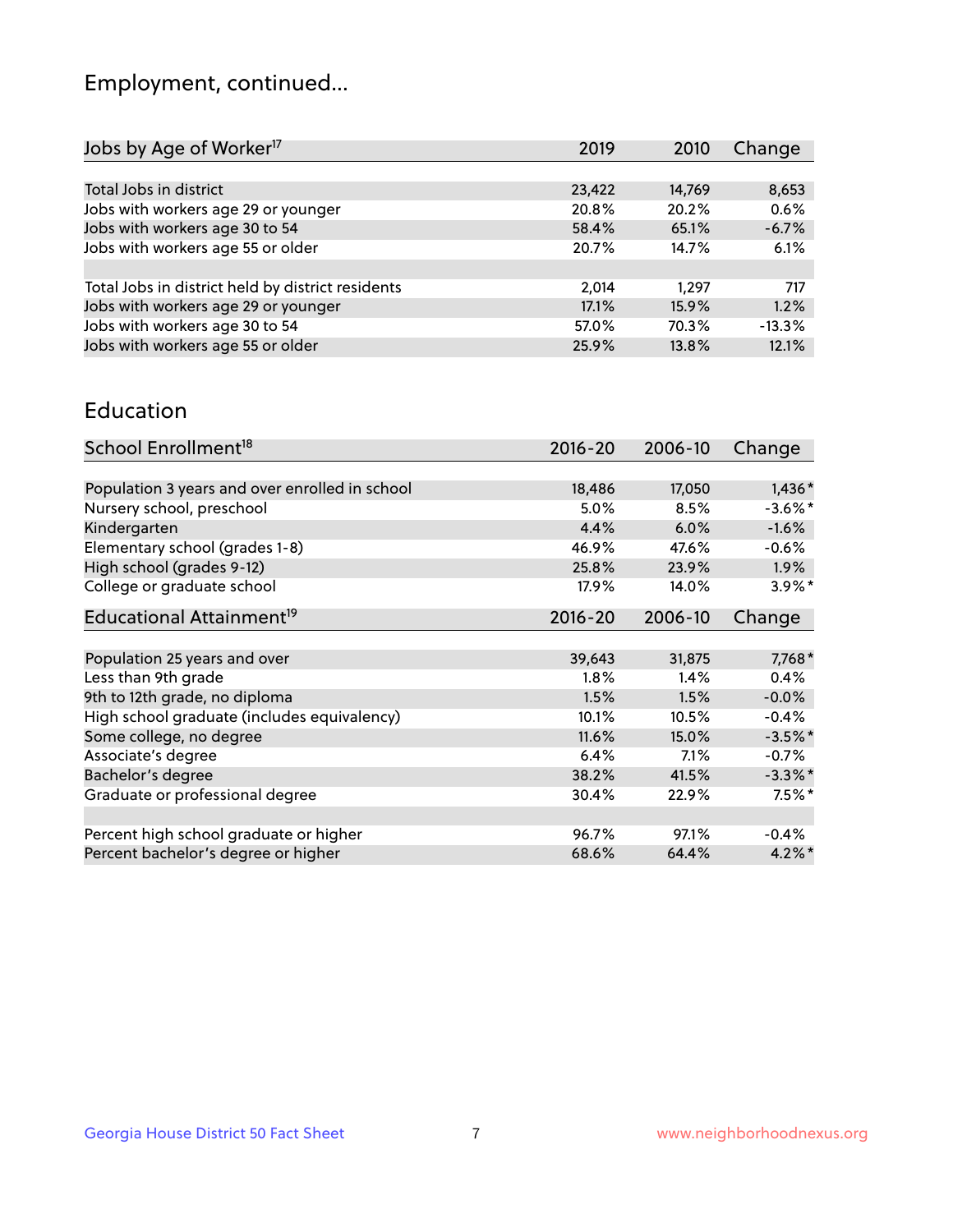## Employment, continued...

| 2019   | 2010   | Change   |
|--------|--------|----------|
|        |        |          |
| 23,422 | 14,769 | 8,653    |
| 20.8%  | 20.2%  | 0.6%     |
| 58.4%  | 65.1%  | $-6.7%$  |
| 20.7%  | 14.7%  | 6.1%     |
|        |        |          |
| 2.014  | 1.297  | 717      |
| 17.1%  | 15.9%  | 1.2%     |
| 57.0%  | 70.3%  | $-13.3%$ |
| 25.9%  | 13.8%  | 12.1%    |
|        |        |          |

#### Education

| School Enrollment <sup>18</sup>                | $2016 - 20$ | 2006-10 | Change     |
|------------------------------------------------|-------------|---------|------------|
|                                                |             |         |            |
| Population 3 years and over enrolled in school | 18,486      | 17,050  | $1,436*$   |
| Nursery school, preschool                      | $5.0\%$     | 8.5%    | $-3.6\%$ * |
| Kindergarten                                   | 4.4%        | 6.0%    | $-1.6%$    |
| Elementary school (grades 1-8)                 | 46.9%       | 47.6%   | $-0.6%$    |
| High school (grades 9-12)                      | 25.8%       | 23.9%   | $1.9\%$    |
| College or graduate school                     | 17.9%       | 14.0%   | $3.9\%$ *  |
| Educational Attainment <sup>19</sup>           | $2016 - 20$ | 2006-10 | Change     |
|                                                |             |         |            |
| Population 25 years and over                   | 39,643      | 31,875  | $7,768*$   |
| Less than 9th grade                            | 1.8%        | 1.4%    | 0.4%       |
| 9th to 12th grade, no diploma                  | 1.5%        | 1.5%    | $-0.0%$    |
| High school graduate (includes equivalency)    | 10.1%       | 10.5%   | $-0.4%$    |
| Some college, no degree                        | 11.6%       | 15.0%   | $-3.5%$ *  |
| Associate's degree                             | 6.4%        | 7.1%    | $-0.7%$    |
| Bachelor's degree                              | 38.2%       | 41.5%   | $-3.3\%$ * |
| Graduate or professional degree                | 30.4%       | 22.9%   | $7.5%$ *   |
|                                                |             |         |            |
| Percent high school graduate or higher         | 96.7%       | 97.1%   | $-0.4%$    |
| Percent bachelor's degree or higher            | 68.6%       | 64.4%   | $4.2\%$ *  |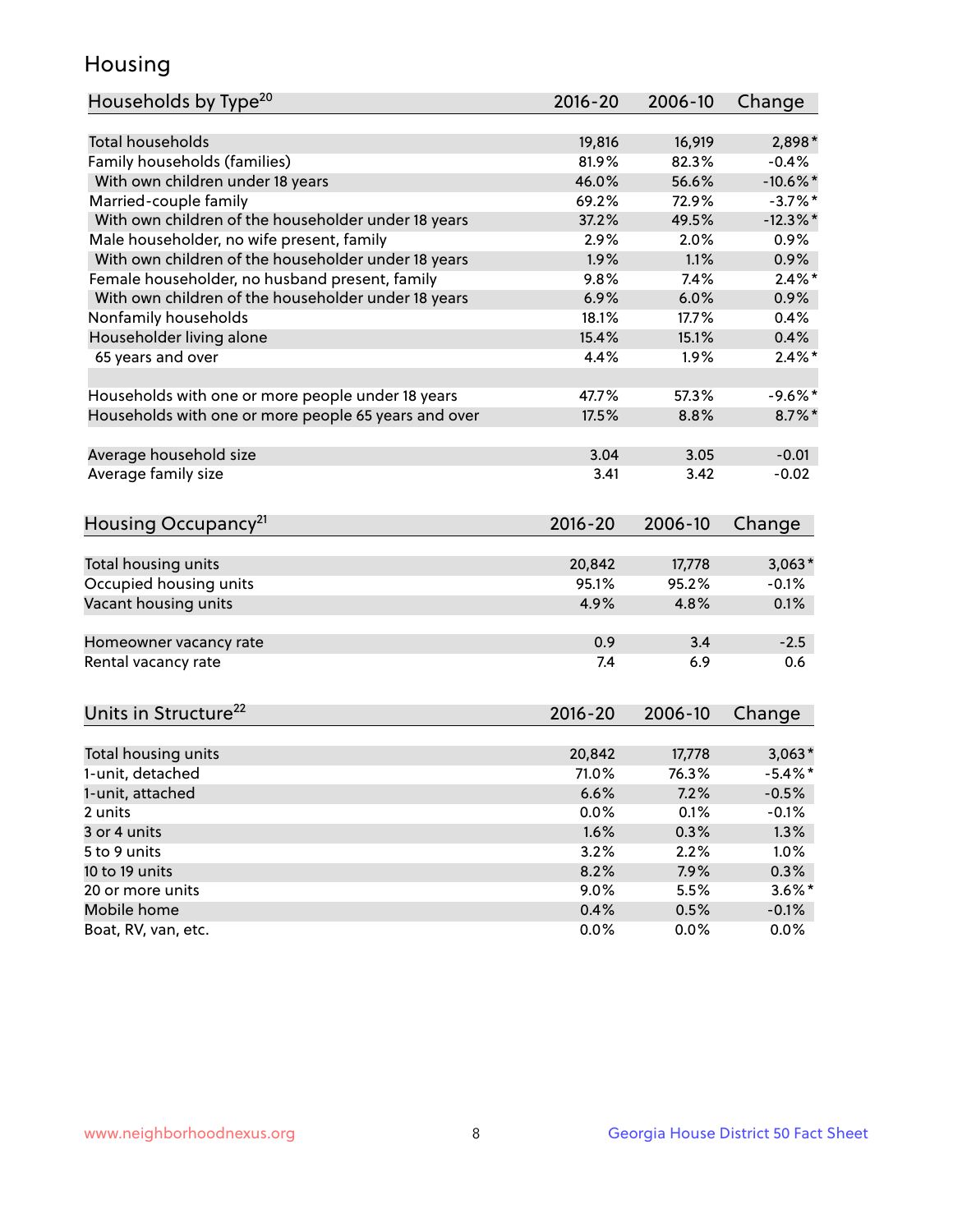## Housing

| Households by Type <sup>20</sup>                     | 2016-20 | 2006-10 | Change      |
|------------------------------------------------------|---------|---------|-------------|
|                                                      |         |         |             |
| <b>Total households</b>                              | 19,816  | 16,919  | 2,898*      |
| Family households (families)                         | 81.9%   | 82.3%   | $-0.4%$     |
| With own children under 18 years                     | 46.0%   | 56.6%   | $-10.6%$ *  |
| Married-couple family                                | 69.2%   | 72.9%   | $-3.7%$ *   |
| With own children of the householder under 18 years  | 37.2%   | 49.5%   | $-12.3\%$ * |
| Male householder, no wife present, family            | 2.9%    | 2.0%    | 0.9%        |
| With own children of the householder under 18 years  | 1.9%    | 1.1%    | 0.9%        |
| Female householder, no husband present, family       | 9.8%    | 7.4%    | $2.4\%$ *   |
| With own children of the householder under 18 years  | 6.9%    | 6.0%    | 0.9%        |
| Nonfamily households                                 | 18.1%   | 17.7%   | 0.4%        |
| Householder living alone                             | 15.4%   | 15.1%   | 0.4%        |
| 65 years and over                                    | 4.4%    | 1.9%    | $2.4\%$ *   |
|                                                      |         |         |             |
| Households with one or more people under 18 years    | 47.7%   | 57.3%   | $-9.6%$ *   |
| Households with one or more people 65 years and over | 17.5%   | 8.8%    | $8.7\%$ *   |
| Average household size                               | 3.04    | 3.05    | $-0.01$     |
| Average family size                                  | 3.41    | 3.42    | $-0.02$     |
|                                                      |         |         |             |
| Housing Occupancy <sup>21</sup>                      | 2016-20 | 2006-10 | Change      |
| Total housing units                                  | 20,842  | 17,778  | $3,063*$    |
| Occupied housing units                               | 95.1%   | 95.2%   | $-0.1%$     |
| Vacant housing units                                 | 4.9%    | 4.8%    | 0.1%        |
|                                                      |         |         |             |
| Homeowner vacancy rate                               | 0.9     | 3.4     | $-2.5$      |
| Rental vacancy rate                                  | 7.4     | 6.9     | 0.6         |
|                                                      |         |         |             |
| Units in Structure <sup>22</sup>                     | 2016-20 | 2006-10 | Change      |
| Total housing units                                  | 20,842  | 17,778  | $3,063*$    |
| 1-unit, detached                                     | 71.0%   | 76.3%   | $-5.4\%$ *  |
| 1-unit, attached                                     | 6.6%    | 7.2%    | $-0.5%$     |
| 2 units                                              | 0.0%    | 0.1%    | $-0.1%$     |
| 3 or 4 units                                         | 1.6%    | 0.3%    | 1.3%        |
| 5 to 9 units                                         | 3.2%    | 2.2%    | 1.0%        |
| 10 to 19 units                                       | 8.2%    | 7.9%    | 0.3%        |
| 20 or more units                                     | $9.0\%$ | 5.5%    | $3.6\%$ *   |
| Mobile home                                          | 0.4%    | 0.5%    | $-0.1%$     |
| Boat, RV, van, etc.                                  | 0.0%    | $0.0\%$ | 0.0%        |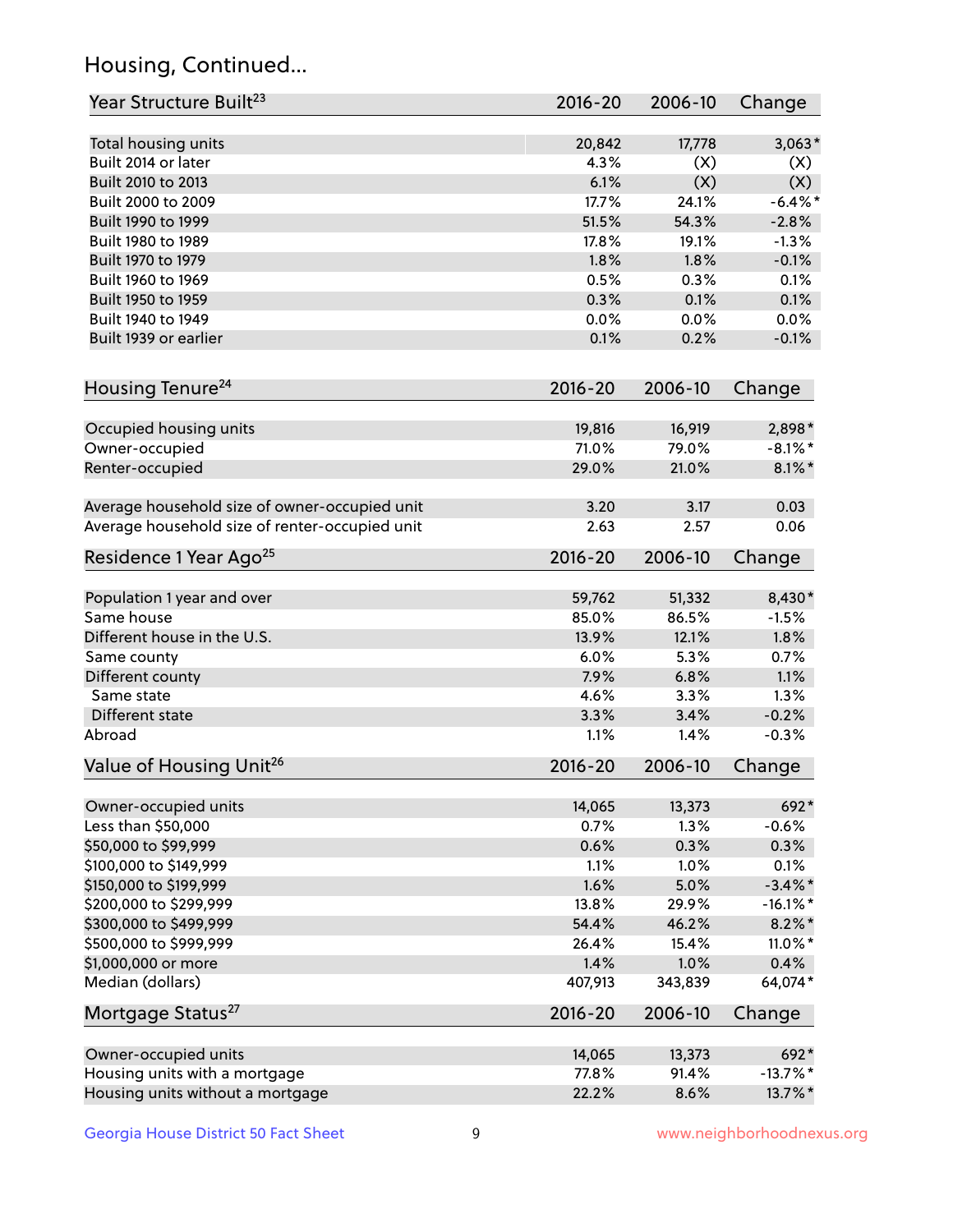## Housing, Continued...

| Year Structure Built <sup>23</sup>             | 2016-20     | 2006-10 | Change      |
|------------------------------------------------|-------------|---------|-------------|
| Total housing units                            | 20,842      | 17,778  | $3,063*$    |
| Built 2014 or later                            | 4.3%        | (X)     | (X)         |
| Built 2010 to 2013                             | 6.1%        | (X)     | (X)         |
| Built 2000 to 2009                             | 17.7%       | 24.1%   | $-6.4\%$ *  |
| Built 1990 to 1999                             | 51.5%       | 54.3%   | $-2.8%$     |
| Built 1980 to 1989                             | 17.8%       | 19.1%   | $-1.3%$     |
| Built 1970 to 1979                             | 1.8%        | 1.8%    | $-0.1%$     |
| Built 1960 to 1969                             | 0.5%        | 0.3%    | 0.1%        |
| Built 1950 to 1959                             | 0.3%        | 0.1%    | 0.1%        |
| Built 1940 to 1949                             | 0.0%        | 0.0%    | 0.0%        |
| Built 1939 or earlier                          | 0.1%        | 0.2%    | $-0.1%$     |
| Housing Tenure <sup>24</sup>                   | 2016-20     | 2006-10 | Change      |
| Occupied housing units                         | 19,816      | 16,919  | 2,898*      |
| Owner-occupied                                 | 71.0%       | 79.0%   | $-8.1\%$ *  |
| Renter-occupied                                | 29.0%       | 21.0%   | $8.1\%$ *   |
| Average household size of owner-occupied unit  | 3.20        | 3.17    | 0.03        |
| Average household size of renter-occupied unit | 2.63        | 2.57    | 0.06        |
| Residence 1 Year Ago <sup>25</sup>             | 2016-20     | 2006-10 | Change      |
| Population 1 year and over                     | 59,762      | 51,332  | 8,430*      |
| Same house                                     | 85.0%       | 86.5%   | $-1.5%$     |
| Different house in the U.S.                    | 13.9%       | 12.1%   | 1.8%        |
| Same county                                    | 6.0%        | 5.3%    | 0.7%        |
| Different county                               | 7.9%        | 6.8%    | 1.1%        |
| Same state                                     | 4.6%        | 3.3%    | 1.3%        |
| Different state                                | 3.3%        | 3.4%    | $-0.2%$     |
| Abroad                                         | 1.1%        | 1.4%    | $-0.3%$     |
| Value of Housing Unit <sup>26</sup>            | $2016 - 20$ | 2006-10 | Change      |
| Owner-occupied units                           | 14,065      | 13,373  | 692*        |
| Less than \$50,000                             | 0.7%        | 1.3%    | $-0.6%$     |
| \$50,000 to \$99,999                           | 0.6%        | 0.3%    | 0.3%        |
| \$100,000 to \$149,999                         | 1.1%        | 1.0%    | 0.1%        |
| \$150,000 to \$199,999                         | 1.6%        | 5.0%    | $-3.4\%$ *  |
| \$200,000 to \$299,999                         | 13.8%       | 29.9%   | $-16.1\%$ * |
| \$300,000 to \$499,999                         | 54.4%       | 46.2%   | $8.2\%$ *   |
| \$500,000 to \$999,999                         | 26.4%       | 15.4%   | 11.0%*      |
| \$1,000,000 or more                            | 1.4%        | 1.0%    | 0.4%        |
| Median (dollars)                               | 407,913     | 343,839 | 64,074*     |
| Mortgage Status <sup>27</sup>                  | $2016 - 20$ | 2006-10 | Change      |
| Owner-occupied units                           | 14,065      | 13,373  | 692*        |
| Housing units with a mortgage                  | 77.8%       | 91.4%   | $-13.7\%$ * |
| Housing units without a mortgage               | 22.2%       | 8.6%    | 13.7%*      |
|                                                |             |         |             |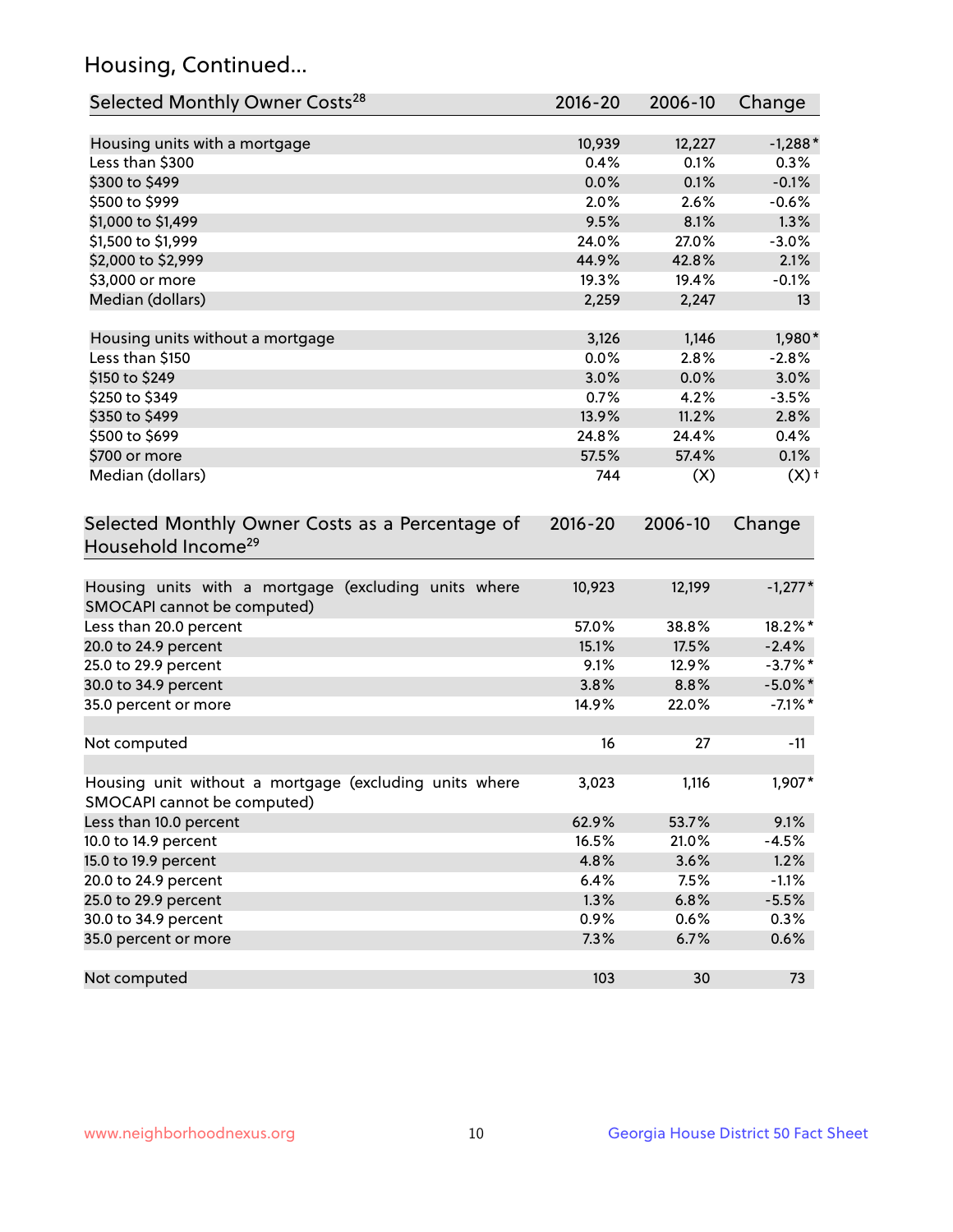## Housing, Continued...

| Selected Monthly Owner Costs <sup>28</sup>                                            | $2016 - 20$ | 2006-10 | Change             |
|---------------------------------------------------------------------------------------|-------------|---------|--------------------|
| Housing units with a mortgage                                                         | 10,939      | 12,227  | $-1,288*$          |
| Less than \$300                                                                       | 0.4%        | 0.1%    | 0.3%               |
| \$300 to \$499                                                                        | 0.0%        | 0.1%    | $-0.1%$            |
| \$500 to \$999                                                                        | 2.0%        | 2.6%    | $-0.6%$            |
| \$1,000 to \$1,499                                                                    | 9.5%        | 8.1%    | 1.3%               |
| \$1,500 to \$1,999                                                                    | 24.0%       | 27.0%   | $-3.0%$            |
| \$2,000 to \$2,999                                                                    | 44.9%       | 42.8%   | 2.1%               |
| \$3,000 or more                                                                       | 19.3%       | 19.4%   | $-0.1%$            |
| Median (dollars)                                                                      | 2,259       | 2,247   | 13                 |
| Housing units without a mortgage                                                      | 3,126       | 1,146   | 1,980*             |
| Less than \$150                                                                       | 0.0%        | 2.8%    | $-2.8%$            |
| \$150 to \$249                                                                        | 3.0%        | 0.0%    | 3.0%               |
| \$250 to \$349                                                                        | 0.7%        | 4.2%    | $-3.5%$            |
| \$350 to \$499                                                                        | 13.9%       | 11.2%   | 2.8%               |
| \$500 to \$699                                                                        | 24.8%       | 24.4%   | 0.4%               |
| \$700 or more                                                                         | 57.5%       | 57.4%   | 0.1%               |
| Median (dollars)                                                                      | 744         | (X)     | $(X)$ <sup>+</sup> |
| Selected Monthly Owner Costs as a Percentage of<br>Household Income <sup>29</sup>     | $2016 - 20$ | 2006-10 | Change             |
| Housing units with a mortgage (excluding units where<br>SMOCAPI cannot be computed)   | 10,923      | 12,199  | $-1,277*$          |
| Less than 20.0 percent                                                                | 57.0%       | 38.8%   | 18.2%*             |
| 20.0 to 24.9 percent                                                                  | 15.1%       | 17.5%   | $-2.4%$            |
| 25.0 to 29.9 percent                                                                  | 9.1%        | 12.9%   | $-3.7\%$ *         |
| 30.0 to 34.9 percent                                                                  | 3.8%        | 8.8%    | $-5.0\%$ *         |
| 35.0 percent or more                                                                  | 14.9%       | 22.0%   | $-7.1\%$ *         |
| Not computed                                                                          | 16          | 27      | $-11$              |
| Housing unit without a mortgage (excluding units where<br>SMOCAPI cannot be computed) | 3,023       | 1,116   | 1,907*             |
| Less than 10.0 percent                                                                | 62.9%       | 53.7%   | 9.1%               |
| 10.0 to 14.9 percent                                                                  | 16.5%       | 21.0%   | $-4.5%$            |
| 15.0 to 19.9 percent                                                                  | 4.8%        | 3.6%    | 1.2%               |
| 20.0 to 24.9 percent                                                                  | 6.4%        | 7.5%    | $-1.1%$            |
| 25.0 to 29.9 percent                                                                  | 1.3%        | 6.8%    | $-5.5%$            |
| 30.0 to 34.9 percent                                                                  | 0.9%        | 0.6%    | 0.3%               |
| 35.0 percent or more                                                                  | 7.3%        | 6.7%    | 0.6%               |
| Not computed                                                                          | 103         | 30      | 73                 |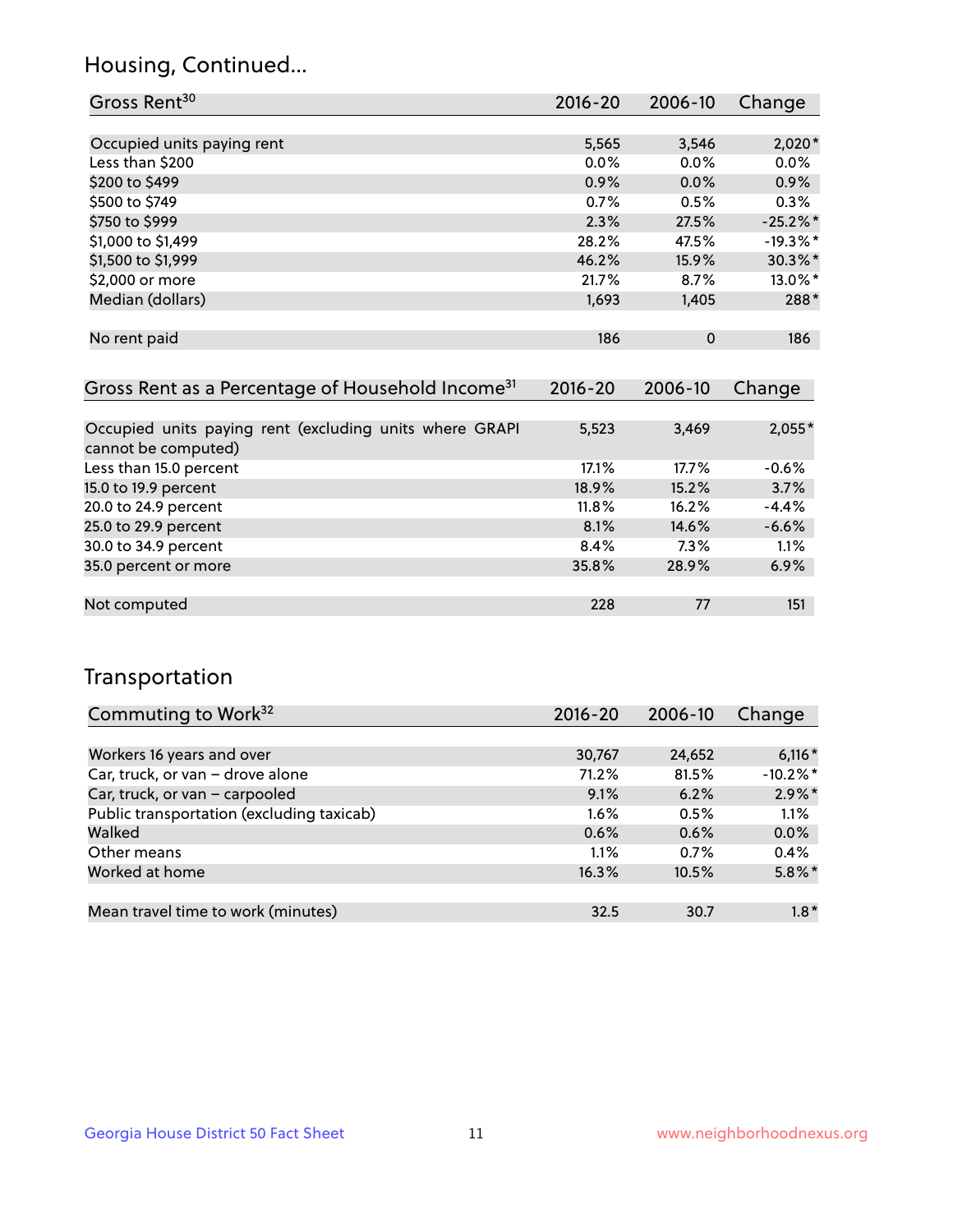## Housing, Continued...

| Gross Rent <sup>30</sup>   | 2016-20 | 2006-10     | Change      |
|----------------------------|---------|-------------|-------------|
|                            |         |             |             |
| Occupied units paying rent | 5,565   | 3,546       | $2,020*$    |
| Less than \$200            | $0.0\%$ | $0.0\%$     | 0.0%        |
| \$200 to \$499             | 0.9%    | 0.0%        | 0.9%        |
| \$500 to \$749             | 0.7%    | 0.5%        | 0.3%        |
| \$750 to \$999             | 2.3%    | 27.5%       | $-25.2\%$ * |
| \$1,000 to \$1,499         | 28.2%   | 47.5%       | $-19.3\%$ * |
| \$1,500 to \$1,999         | 46.2%   | 15.9%       | 30.3%*      |
| \$2,000 or more            | 21.7%   | 8.7%        | $13.0\%$ *  |
| Median (dollars)           | 1,693   | 1,405       | 288*        |
|                            |         |             |             |
| No rent paid               | 186     | $\mathbf 0$ | 186         |
|                            |         |             |             |

| Gross Rent as a Percentage of Household Income <sup>31</sup>                   | $2016 - 20$ | 2006-10 | Change   |
|--------------------------------------------------------------------------------|-------------|---------|----------|
|                                                                                |             |         |          |
| Occupied units paying rent (excluding units where GRAPI<br>cannot be computed) | 5,523       | 3,469   | $2,055*$ |
| Less than 15.0 percent                                                         | 17.1%       | 17.7%   | $-0.6%$  |
| 15.0 to 19.9 percent                                                           | 18.9%       | 15.2%   | 3.7%     |
| 20.0 to 24.9 percent                                                           | $11.8\%$    | 16.2%   | $-4.4%$  |
| 25.0 to 29.9 percent                                                           | 8.1%        | 14.6%   | $-6.6%$  |
| 30.0 to 34.9 percent                                                           | 8.4%        | $7.3\%$ | 1.1%     |
| 35.0 percent or more                                                           | 35.8%       | 28.9%   | 6.9%     |
|                                                                                |             |         |          |
| Not computed                                                                   | 228         | 77      | 151      |

## Transportation

| Commuting to Work <sup>32</sup>           | 2016-20 | 2006-10 | Change     |
|-------------------------------------------|---------|---------|------------|
|                                           |         |         |            |
| Workers 16 years and over                 | 30,767  | 24,652  | $6,116*$   |
| Car, truck, or van - drove alone          | 71.2%   | 81.5%   | $-10.2%$ * |
| Car, truck, or van - carpooled            | 9.1%    | 6.2%    | $2.9\%$ *  |
| Public transportation (excluding taxicab) | $1.6\%$ | 0.5%    | 1.1%       |
| Walked                                    | 0.6%    | 0.6%    | 0.0%       |
| Other means                               | 1.1%    | 0.7%    | 0.4%       |
| Worked at home                            | 16.3%   | 10.5%   | $5.8\%$ *  |
|                                           |         |         |            |
| Mean travel time to work (minutes)        | 32.5    | 30.7    | $1.8*$     |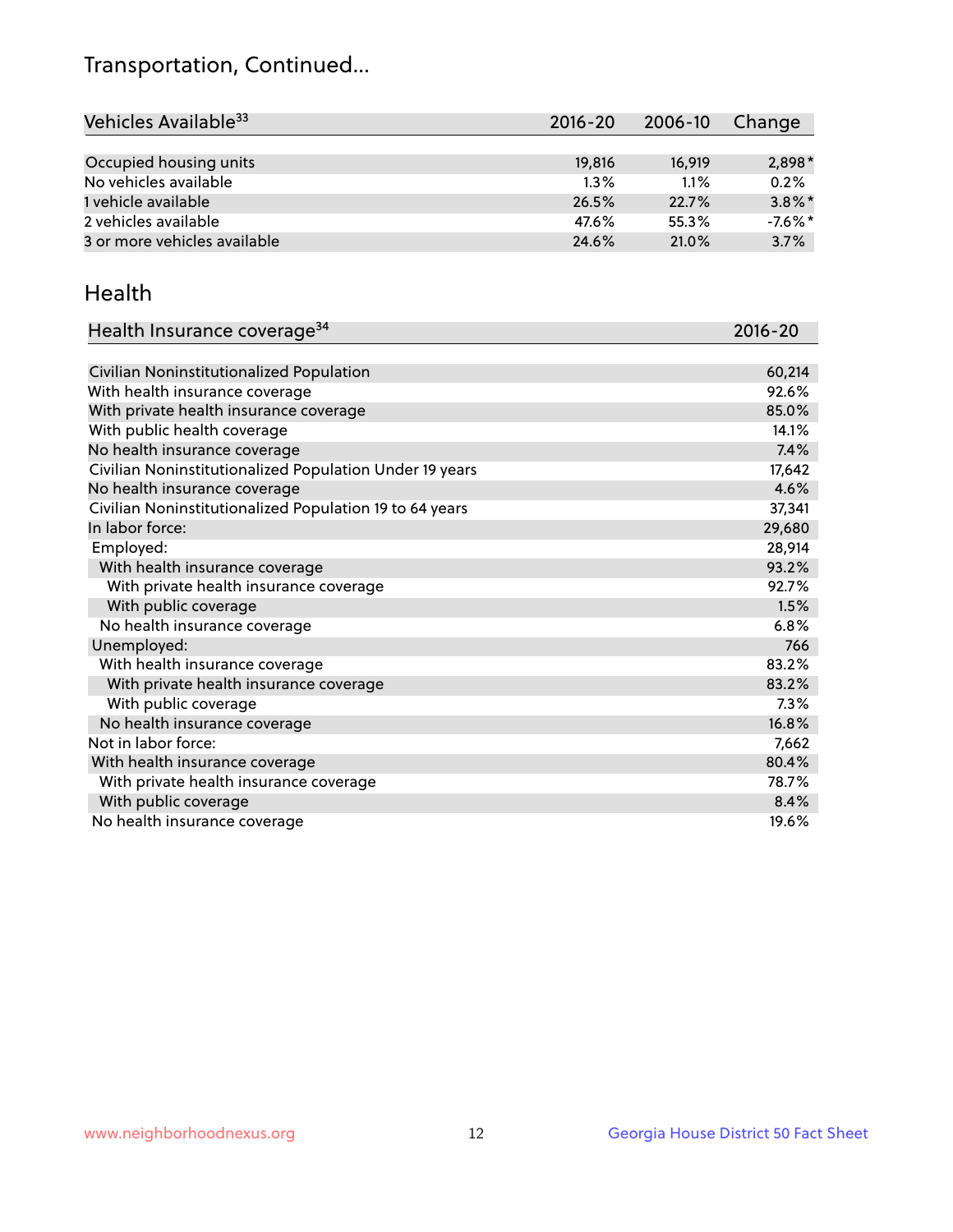## Transportation, Continued...

| Vehicles Available <sup>33</sup> | $2016 - 20$ | $2006 - 10$ | Change     |
|----------------------------------|-------------|-------------|------------|
|                                  |             |             |            |
| Occupied housing units           | 19,816      | 16.919      | $2,898*$   |
| No vehicles available            | $1.3\%$     | 1.1%        | 0.2%       |
| 1 vehicle available              | 26.5%       | 22.7%       | $3.8\%$ *  |
| 2 vehicles available             | 47.6%       | 55.3%       | $-7.6\%$ * |
| 3 or more vehicles available     | 24.6%       | 21.0%       | 3.7%       |

#### Health

| Health Insurance coverage <sup>34</sup>                 | 2016-20 |
|---------------------------------------------------------|---------|
|                                                         |         |
| Civilian Noninstitutionalized Population                | 60,214  |
| With health insurance coverage                          | 92.6%   |
| With private health insurance coverage                  | 85.0%   |
| With public health coverage                             | 14.1%   |
| No health insurance coverage                            | 7.4%    |
| Civilian Noninstitutionalized Population Under 19 years | 17,642  |
| No health insurance coverage                            | 4.6%    |
| Civilian Noninstitutionalized Population 19 to 64 years | 37,341  |
| In labor force:                                         | 29,680  |
| Employed:                                               | 28,914  |
| With health insurance coverage                          | 93.2%   |
| With private health insurance coverage                  | 92.7%   |
| With public coverage                                    | 1.5%    |
| No health insurance coverage                            | 6.8%    |
| Unemployed:                                             | 766     |
| With health insurance coverage                          | 83.2%   |
| With private health insurance coverage                  | 83.2%   |
| With public coverage                                    | 7.3%    |
| No health insurance coverage                            | 16.8%   |
| Not in labor force:                                     | 7,662   |
| With health insurance coverage                          | 80.4%   |
| With private health insurance coverage                  | 78.7%   |
| With public coverage                                    | 8.4%    |
| No health insurance coverage                            | 19.6%   |